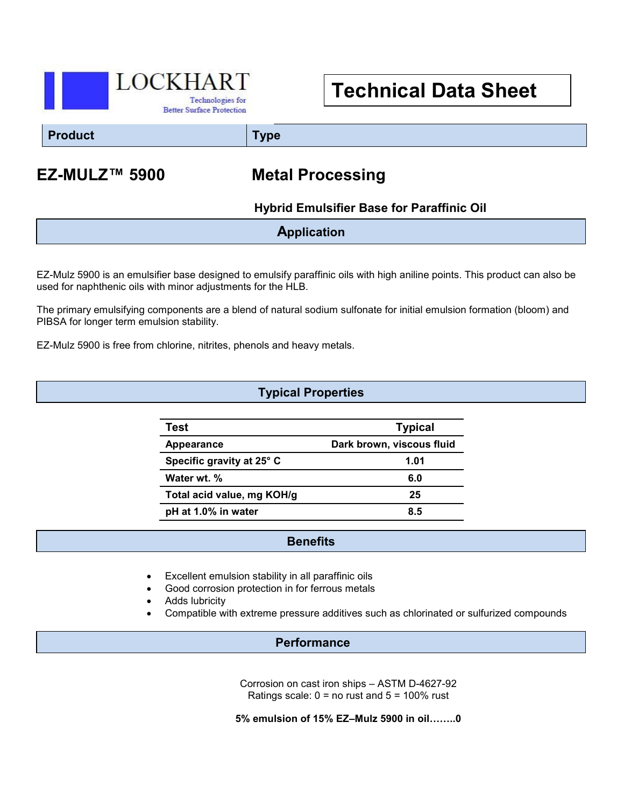

# **Technical Data Sheet**

**Product Type**

## **EZ-MULZ™ 5900 Metal Processing**

### **Hybrid Emulsifier Base for Paraffinic Oil**

**Application**

EZ-Mulz 5900 is an emulsifier base designed to emulsify paraffinic oils with high aniline points. This product can also be used for naphthenic oils with minor adjustments for the HLB.

The primary emulsifying components are a blend of natural sodium sulfonate for initial emulsion formation (bloom) and PIBSA for longer term emulsion stability.

EZ-Mulz 5900 is free from chlorine, nitrites, phenols and heavy metals.

#### **Typical Properties**

| Test                       | <b>Typical</b>            |
|----------------------------|---------------------------|
| Appearance                 | Dark brown, viscous fluid |
| Specific gravity at 25° C  | 1.01                      |
| Water wt. %                | 6.0                       |
| Total acid value, mg KOH/g | 25                        |
| pH at 1.0% in water        | 85                        |

#### **Benefits**

- Excellent emulsion stability in all paraffinic oils
- Good corrosion protection in for ferrous metals
- Adds lubricity
- Compatible with extreme pressure additives such as chlorinated or sulfurized compounds

#### **Performance**

Corrosion on cast iron ships – ASTM D-4627-92 Ratings scale:  $0 =$  no rust and  $5 = 100\%$  rust

**5% emulsion of 15% EZ–Mulz 5900 in oil……..0**